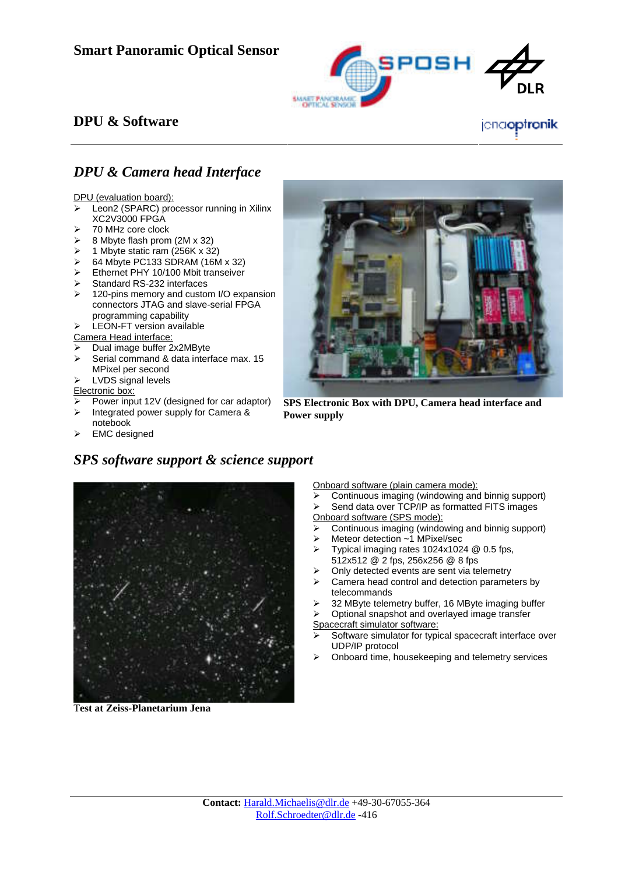

## **DPU & Software**

## *DPU & Camera head Interface*

DPU (evaluation board):

- Leon2 (SPARC) processor running in Xilinx XC2V3000 FPGA
- $\geq$  70 MHz core clock
- $\geq$  8 Mbyte flash prom (2M x 32)
- $\triangleright$  1 Mbyte static ram (256K x 32)
- $\geq$  64 Mbyte PC133 SDRAM (16M x 32)
- ¾ Ethernet PHY 10/100 Mbit transeiver
- Standard RS-232 interfaces
- $\geq$  120-pins memory and custom I/O expansion connectors JTAG and slave-serial FPGA programming capability

LEON-FT version available

Camera Head interface:

- Dual image buffer 2x2MByte
- $\triangleright$  Serial command & data interface max. 15 MPixel per second ¾ LVDS signal levels

- Electronic box:
- Power input 12V (designed for car adaptor)

*SPS software support & science support* 

- $\triangleright$  Integrated power supply for Camera & notebook
- **EMC** designed



**SPS Electronic Box with DPU, Camera head interface and Power supply**



T**est at Zeiss-Planetarium Jena**

Onboard software (plain camera mode):

- Continuous imaging (windowing and binnig support)
- Send data over TCP/IP as formatted FITS images Onboard software (SPS mode):
- Continuous imaging (windowing and binnig support)
- Meteor detection ~1 MPixel/sec
- ¾ Typical imaging rates 1024x1024 @ 0.5 fps, 512x512 @ 2 fps, 256x256 @ 8 fps
- Only detected events are sent via telemetry
- $\triangleright$  Camera head control and detection parameters by telecommands
- 32 MByte telemetry buffer, 16 MByte imaging buffer

Optional snapshot and overlayed image transfer

Spacecraft simulator software:

- Software simulator for typical spacecraft interface over UDP/IP protocol
- ¾ Onboard time, housekeeping and telemetry services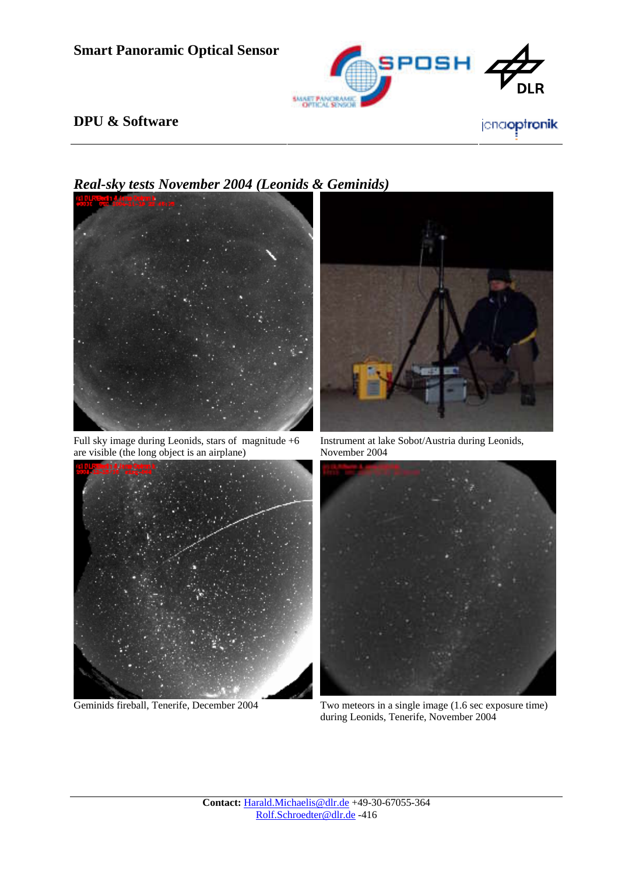

## **DPU & Software**



Full sky image during Leonids, stars of magnitude +6 are visible (the long object is an airplane)







Instrument at lake Sobot/Austria during Leonids, November 2004



Geminids fireball, Tenerife, December 2004 Two meteors in a single image (1.6 sec exposure time) during Leonids, Tenerife, November 2004